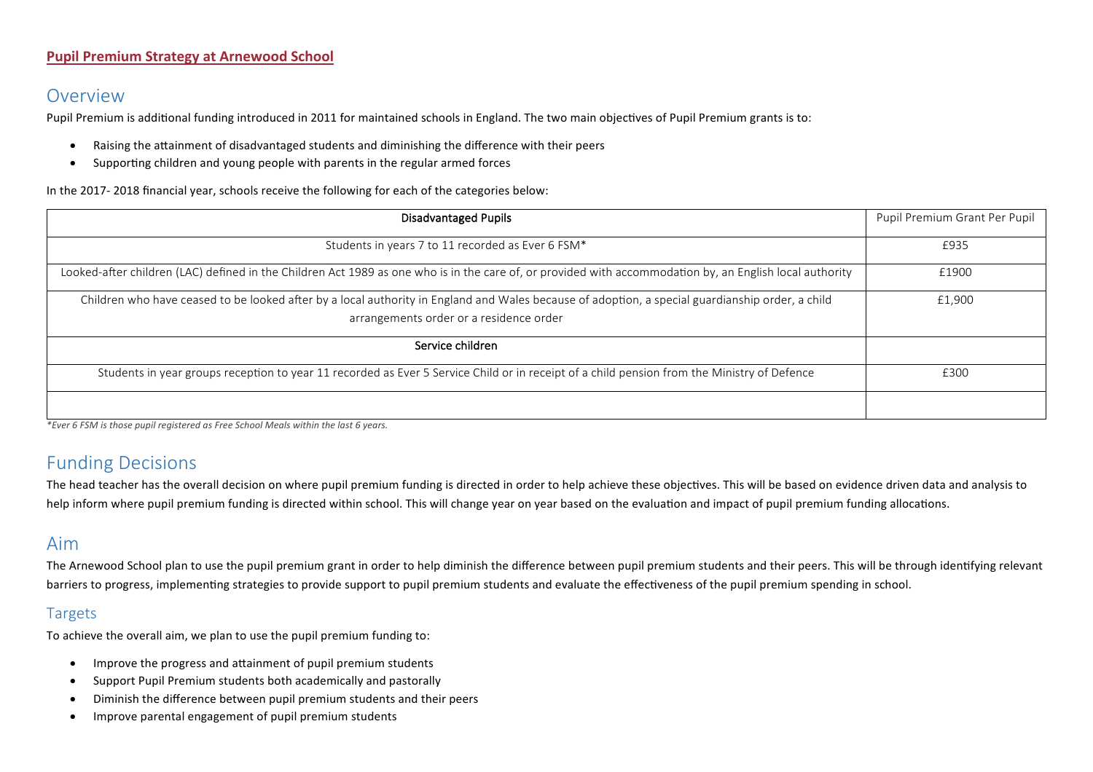### **Pupil Premium Strategy at Arnewood School**

# Overview

Pupil Premium is additional funding introduced in 2011 for maintained schools in England. The two main objectives of Pupil Premium grants is to:

- Raising the attainment of disadvantaged students and diminishing the difference with their peers
- Supporting children and young people with parents in the regular armed forces

In the 2017- 2018 financial year, schools receive the following for each of the categories below:

| <b>Disadvantaged Pupils</b>                                                                                                                                                                 | Pupil Premium Grant Per Pupil |
|---------------------------------------------------------------------------------------------------------------------------------------------------------------------------------------------|-------------------------------|
| Students in years 7 to 11 recorded as Ever 6 FSM*                                                                                                                                           | £935                          |
| Looked-after children (LAC) defined in the Children Act 1989 as one who is in the care of, or provided with accommodation by, an English local authority                                    | £1900                         |
| Children who have ceased to be looked after by a local authority in England and Wales because of adoption, a special guardianship order, a child<br>arrangements order or a residence order | £1,900                        |
| Service children                                                                                                                                                                            |                               |
| Students in year groups reception to year 11 recorded as Ever 5 Service Child or in receipt of a child pension from the Ministry of Defence                                                 | £300                          |
|                                                                                                                                                                                             |                               |

*\*Ever 6 FSM is those pupil registered as Free School Meals within the last 6 years.*

# Funding Decisions

The head teacher has the overall decision on where pupil premium funding is directed in order to help achieve these objectives. This will be based on evidence driven data and analysis to help inform where pupil premium funding is directed within school. This will change year on year based on the evaluation and impact of pupil premium funding allocations.

### Aim

The Arnewood School plan to use the pupil premium grant in order to help diminish the difference between pupil premium students and their peers. This will be through identifying relevant barriers to progress, implementing strategies to provide support to pupil premium students and evaluate the effectiveness of the pupil premium spending in school.

### Targets

To achieve the overall aim, we plan to use the pupil premium funding to:

- Improve the progress and attainment of pupil premium students
- Support Pupil Premium students both academically and pastorally
- Diminish the difference between pupil premium students and their peers
- Improve parental engagement of pupil premium students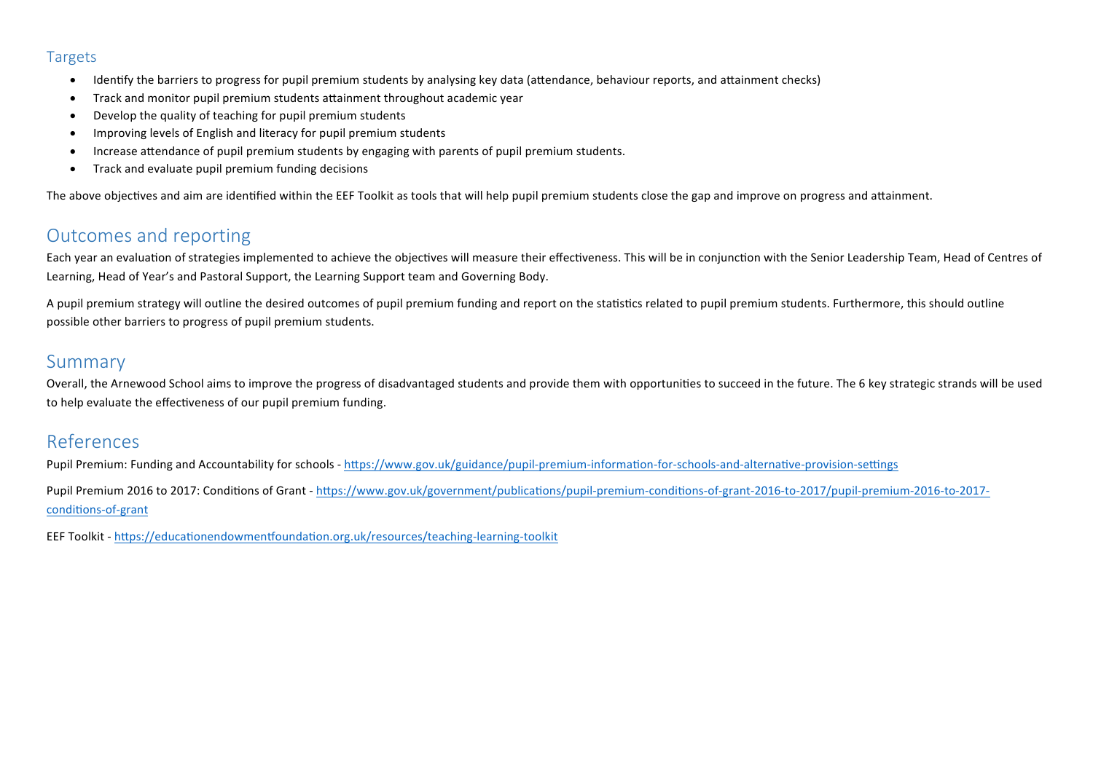### Targets

- Identify the barriers to progress for pupil premium students by analysing key data (attendance, behaviour reports, and attainment checks)
- Track and monitor pupil premium students attainment throughout academic year
- Develop the quality of teaching for pupil premium students
- Improving levels of English and literacy for pupil premium students
- Increase attendance of pupil premium students by engaging with parents of pupil premium students.
- Track and evaluate pupil premium funding decisions

The above objectives and aim are identified within the EEF Toolkit as tools that will help pupil premium students close the gap and improve on progress and attainment.

# Outcomes and reporting

Each year an evaluation of strategies implemented to achieve the objectives will measure their effectiveness. This will be in conjunction with the Senior Leadership Team, Head of Centres of Learning, Head of Year's and Pastoral Support, the Learning Support team and Governing Body.

A pupil premium strategy will outline the desired outcomes of pupil premium funding and report on the statistics related to pupil premium students. Furthermore, this should outline possible other barriers to progress of pupil premium students.

# Summary

Overall, the Arnewood School aims to improve the progress of disadvantaged students and provide them with opportunities to succeed in the future. The 6 key strategic strands will be used to help evaluate the effectiveness of our pupil premium funding.

# References

Pupil Premium: Funding and Accountability for schools - https://www.gov.uk/guidance/pupil-premium-information-for-schools-and-alternative-provision-settings Pupil Premium 2016 to 2017: Conditions of Grant - https://www.gov.uk/government/publications/pupil-premium-conditions-of-grant-2016-to-2017/pupil-premium-2016-to-2017conditions-of-grant

EEF Toolkit - https://educationendowmentfoundation.org.uk/resources/teaching-learning-toolkit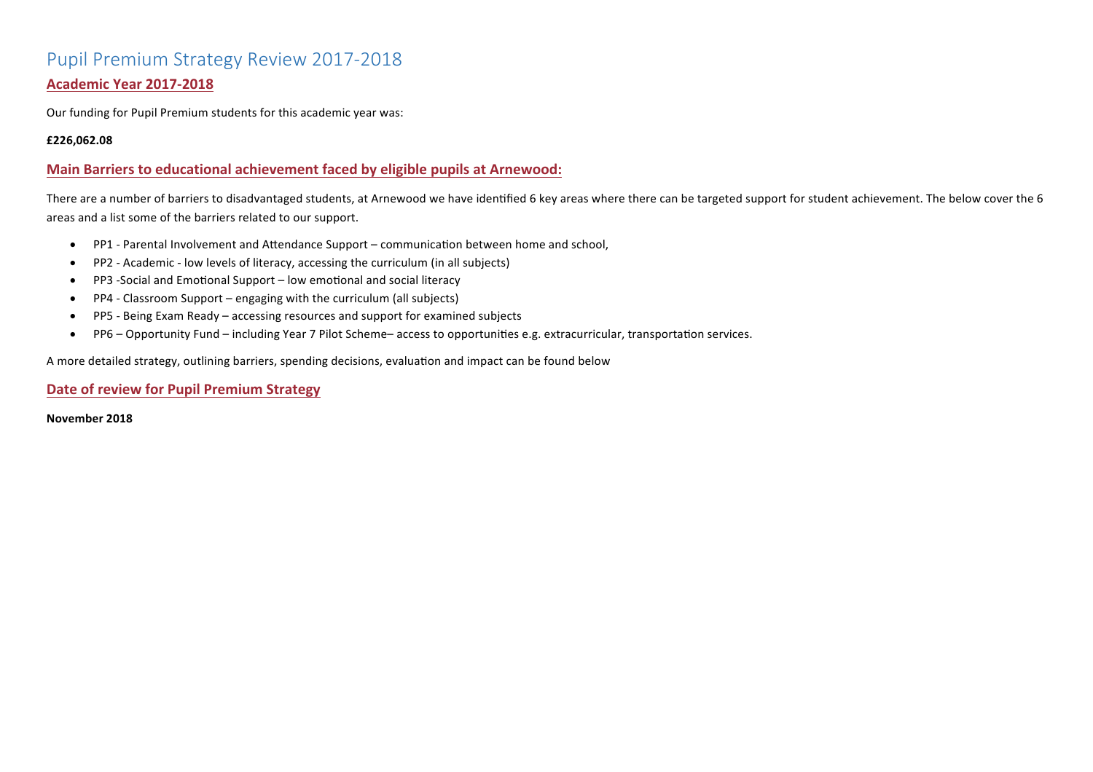# Pupil Premium Strategy Review 2017-2018 **Academic Year 2017-2018**

Our funding for Pupil Premium students for this academic year was:

#### **£226,062.08**

### **Main Barriers to educational achievement faced by eligible pupils at Arnewood:**

There are a number of barriers to disadvantaged students, at Arnewood we have identified 6 key areas where there can be targeted support for student achievement. The below cover the 6 areas and a list some of the barriers related to our support.

- PP1 Parental Involvement and Attendance Support communication between home and school,
- PP2 Academic low levels of literacy, accessing the curriculum (in all subjects)
- PP3 -Social and Emotional Support low emotional and social literacy
- PP4 Classroom Support engaging with the curriculum (all subjects)
- PP5 Being Exam Ready accessing resources and support for examined subjects
- PP6 Opportunity Fund including Year 7 Pilot Scheme– access to opportunities e.g. extracurricular, transportation services.

A more detailed strategy, outlining barriers, spending decisions, evaluation and impact can be found below

### **Date of review for Pupil Premium Strategy**

**November 2018**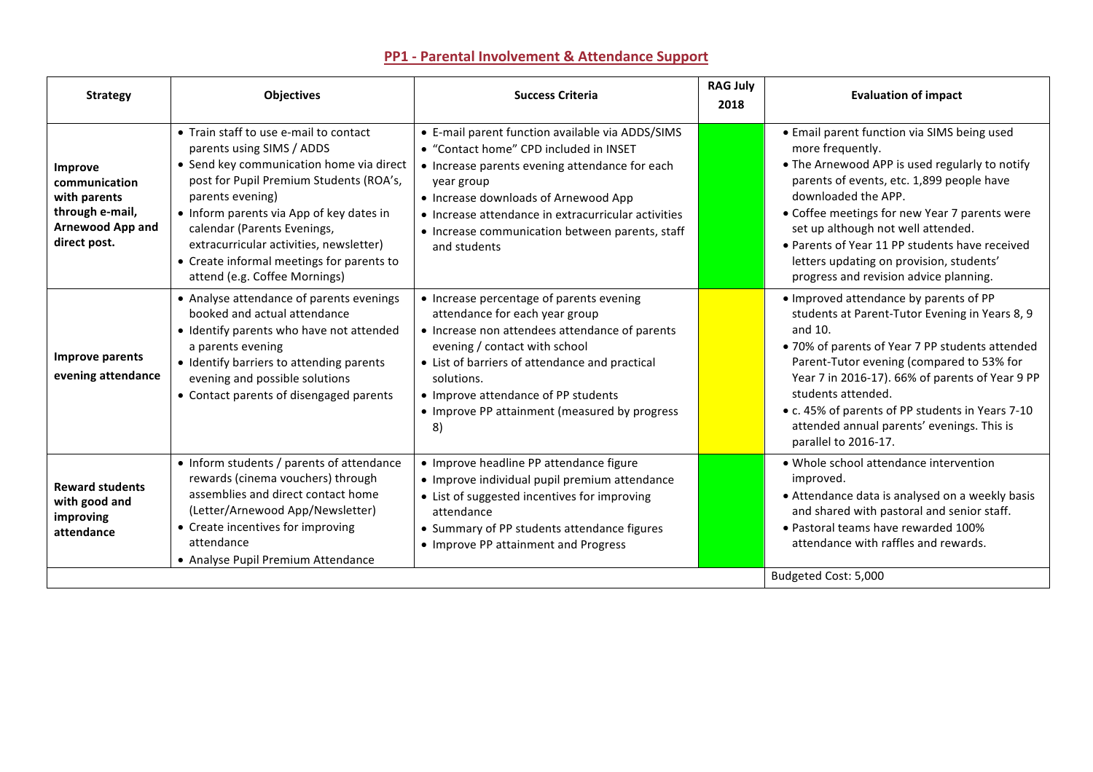| <b>Strategy</b>                                                                                        | <b>Objectives</b>                                                                                                                                                                                                                                                                                                                                                                  | <b>Success Criteria</b>                                                                                                                                                                                                                                                                                                      | <b>RAG July</b><br>2018 | <b>Evaluation of impact</b>                                                                                                                                                                                                                                                                                                                                                                                          |
|--------------------------------------------------------------------------------------------------------|------------------------------------------------------------------------------------------------------------------------------------------------------------------------------------------------------------------------------------------------------------------------------------------------------------------------------------------------------------------------------------|------------------------------------------------------------------------------------------------------------------------------------------------------------------------------------------------------------------------------------------------------------------------------------------------------------------------------|-------------------------|----------------------------------------------------------------------------------------------------------------------------------------------------------------------------------------------------------------------------------------------------------------------------------------------------------------------------------------------------------------------------------------------------------------------|
| Improve<br>communication<br>with parents<br>through e-mail,<br><b>Arnewood App and</b><br>direct post. | • Train staff to use e-mail to contact<br>parents using SIMS / ADDS<br>• Send key communication home via direct<br>post for Pupil Premium Students (ROA's,<br>parents evening)<br>• Inform parents via App of key dates in<br>calendar (Parents Evenings,<br>extracurricular activities, newsletter)<br>• Create informal meetings for parents to<br>attend (e.g. Coffee Mornings) | • E-mail parent function available via ADDS/SIMS<br>• "Contact home" CPD included in INSET<br>• Increase parents evening attendance for each<br>year group<br>• Increase downloads of Arnewood App<br>• Increase attendance in extracurricular activities<br>• Increase communication between parents, staff<br>and students |                         | • Email parent function via SIMS being used<br>more frequently.<br>• The Arnewood APP is used regularly to notify<br>parents of events, etc. 1,899 people have<br>downloaded the APP.<br>• Coffee meetings for new Year 7 parents were<br>set up although not well attended.<br>• Parents of Year 11 PP students have received<br>letters updating on provision, students'<br>progress and revision advice planning. |
| Improve parents<br>evening attendance                                                                  | • Analyse attendance of parents evenings<br>booked and actual attendance<br>• Identify parents who have not attended<br>a parents evening<br>• Identify barriers to attending parents<br>evening and possible solutions<br>• Contact parents of disengaged parents                                                                                                                 | • Increase percentage of parents evening<br>attendance for each year group<br>• Increase non attendees attendance of parents<br>evening / contact with school<br>• List of barriers of attendance and practical<br>solutions.<br>• Improve attendance of PP students<br>• Improve PP attainment (measured by progress<br>8)  |                         | • Improved attendance by parents of PP<br>students at Parent-Tutor Evening in Years 8, 9<br>and 10.<br>. 70% of parents of Year 7 PP students attended<br>Parent-Tutor evening (compared to 53% for<br>Year 7 in 2016-17). 66% of parents of Year 9 PP<br>students attended.<br>• c. 45% of parents of PP students in Years 7-10<br>attended annual parents' evenings. This is<br>parallel to 2016-17.               |
| <b>Reward students</b><br>with good and<br>improving<br>attendance                                     | • Inform students / parents of attendance<br>rewards (cinema vouchers) through<br>assemblies and direct contact home<br>(Letter/Arnewood App/Newsletter)<br>• Create incentives for improving<br>attendance<br>• Analyse Pupil Premium Attendance                                                                                                                                  | • Improve headline PP attendance figure<br>· Improve individual pupil premium attendance<br>• List of suggested incentives for improving<br>attendance<br>• Summary of PP students attendance figures<br>• Improve PP attainment and Progress                                                                                |                         | • Whole school attendance intervention<br>improved.<br>• Attendance data is analysed on a weekly basis<br>and shared with pastoral and senior staff.<br>• Pastoral teams have rewarded 100%<br>attendance with raffles and rewards.                                                                                                                                                                                  |
|                                                                                                        |                                                                                                                                                                                                                                                                                                                                                                                    |                                                                                                                                                                                                                                                                                                                              |                         | Budgeted Cost: 5,000                                                                                                                                                                                                                                                                                                                                                                                                 |

## **PP1 - Parental Involvement & Attendance Support**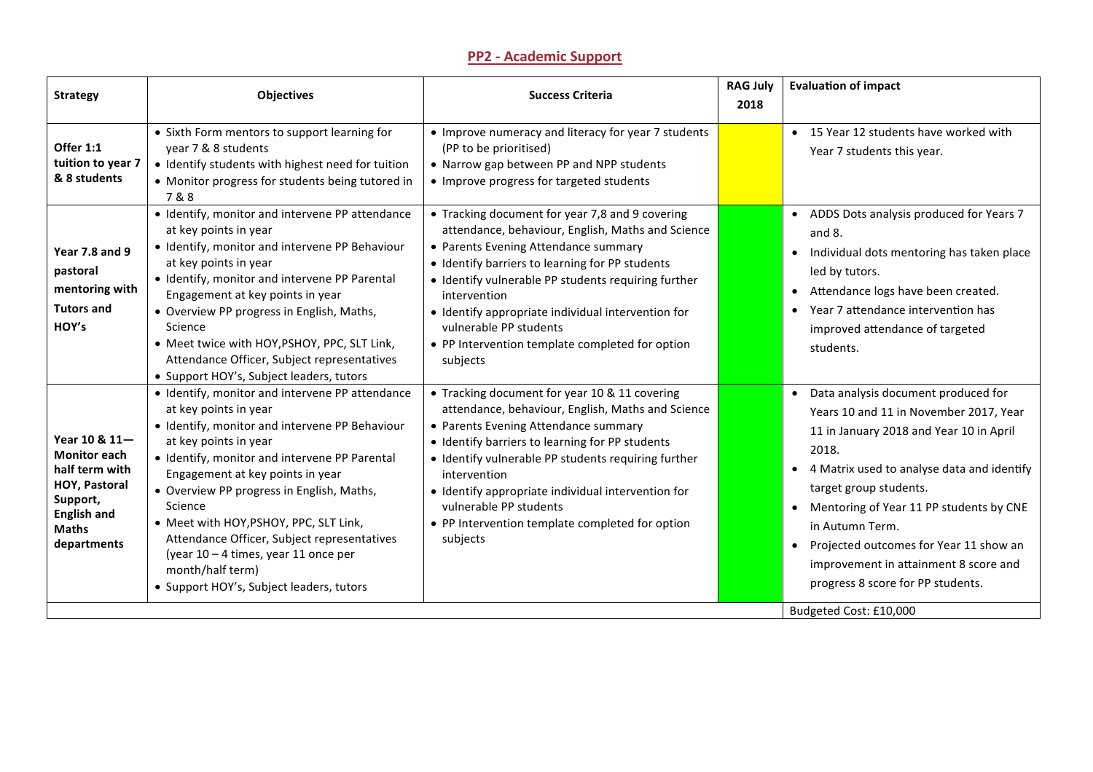### **PP2 - Academic Support**

| <b>Strategy</b>                                                                                                                          | <b>Objectives</b>                                                                                                                                                                                                                                                                                                                                                                                                                                                                                 | <b>Success Criteria</b>                                                                                                                                                                                                                                                                                                                                                                                               | <b>RAG July</b><br>2018 | <b>Evaluation of impact</b>                                                                                                                                                                                                                                                                                                                                                                                                       |
|------------------------------------------------------------------------------------------------------------------------------------------|---------------------------------------------------------------------------------------------------------------------------------------------------------------------------------------------------------------------------------------------------------------------------------------------------------------------------------------------------------------------------------------------------------------------------------------------------------------------------------------------------|-----------------------------------------------------------------------------------------------------------------------------------------------------------------------------------------------------------------------------------------------------------------------------------------------------------------------------------------------------------------------------------------------------------------------|-------------------------|-----------------------------------------------------------------------------------------------------------------------------------------------------------------------------------------------------------------------------------------------------------------------------------------------------------------------------------------------------------------------------------------------------------------------------------|
| Offer 1:1<br>tuition to year 7<br>& 8 students                                                                                           | • Sixth Form mentors to support learning for<br>year 7 & 8 students<br>· Identify students with highest need for tuition<br>• Monitor progress for students being tutored in<br>7&8                                                                                                                                                                                                                                                                                                               | • Improve numeracy and literacy for year 7 students<br>(PP to be prioritised)<br>• Narrow gap between PP and NPP students<br>• Improve progress for targeted students                                                                                                                                                                                                                                                 |                         | • 15 Year 12 students have worked with<br>Year 7 students this year.                                                                                                                                                                                                                                                                                                                                                              |
| <b>Year 7.8 and 9</b><br>pastoral<br>mentoring with<br><b>Tutors and</b><br>HOY's                                                        | · Identify, monitor and intervene PP attendance<br>at key points in year<br>· Identify, monitor and intervene PP Behaviour<br>at key points in year<br>• Identify, monitor and intervene PP Parental<br>Engagement at key points in year<br>• Overview PP progress in English, Maths,<br>Science<br>• Meet twice with HOY, PSHOY, PPC, SLT Link,<br>Attendance Officer, Subject representatives<br>• Support HOY's, Subject leaders, tutors                                                       | • Tracking document for year 7,8 and 9 covering<br>attendance, behaviour, English, Maths and Science<br>• Parents Evening Attendance summary<br>• Identify barriers to learning for PP students<br>• Identify vulnerable PP students requiring further<br>intervention<br>• Identify appropriate individual intervention for<br>vulnerable PP students<br>• PP Intervention template completed for option<br>subjects |                         | • ADDS Dots analysis produced for Years 7<br>and 8.<br>• Individual dots mentoring has taken place<br>led by tutors.<br>• Attendance logs have been created.<br>Year 7 attendance intervention has<br>$\bullet$<br>improved attendance of targeted<br>students.                                                                                                                                                                   |
| Year 10 & 11-<br><b>Monitor each</b><br>half term with<br>HOY, Pastoral<br>Support,<br><b>English and</b><br><b>Maths</b><br>departments | · Identify, monitor and intervene PP attendance<br>at key points in year<br>· Identify, monitor and intervene PP Behaviour<br>at key points in year<br>· Identify, monitor and intervene PP Parental<br>Engagement at key points in year<br>• Overview PP progress in English, Maths,<br>Science<br>• Meet with HOY, PSHOY, PPC, SLT Link,<br>Attendance Officer, Subject representatives<br>(year 10 - 4 times, year 11 once per<br>month/half term)<br>• Support HOY's, Subject leaders, tutors | • Tracking document for year 10 & 11 covering<br>attendance, behaviour, English, Maths and Science<br>• Parents Evening Attendance summary<br>· Identify barriers to learning for PP students<br>· Identify vulnerable PP students requiring further<br>intervention<br>• Identify appropriate individual intervention for<br>vulnerable PP students<br>• PP Intervention template completed for option<br>subjects   |                         | • Data analysis document produced for<br>Years 10 and 11 in November 2017, Year<br>11 in January 2018 and Year 10 in April<br>2018.<br>• 4 Matrix used to analyse data and identify<br>target group students.<br>• Mentoring of Year 11 PP students by CNE<br>in Autumn Term.<br>• Projected outcomes for Year 11 show an<br>improvement in attainment 8 score and<br>progress 8 score for PP students.<br>Budgeted Cost: £10,000 |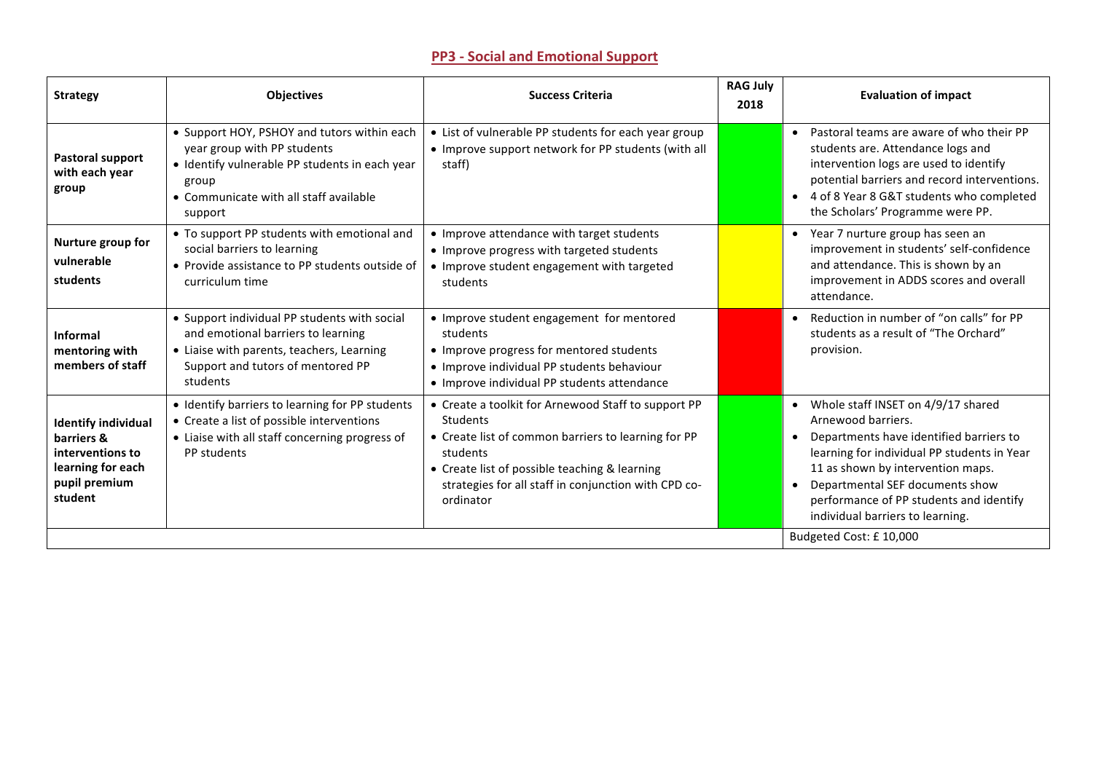## **PP3 - Social and Emotional Support**

| <b>Strategy</b>                                                                                               | <b>Objectives</b>                                                                                                                                                                          | <b>Success Criteria</b>                                                                                                                                                                                                                                         | <b>RAG July</b><br>2018 | <b>Evaluation of impact</b>                                                                                                                                                                                                                                                                                                           |
|---------------------------------------------------------------------------------------------------------------|--------------------------------------------------------------------------------------------------------------------------------------------------------------------------------------------|-----------------------------------------------------------------------------------------------------------------------------------------------------------------------------------------------------------------------------------------------------------------|-------------------------|---------------------------------------------------------------------------------------------------------------------------------------------------------------------------------------------------------------------------------------------------------------------------------------------------------------------------------------|
| Pastoral support<br>with each year<br>group                                                                   | • Support HOY, PSHOY and tutors within each<br>year group with PP students<br>• Identify vulnerable PP students in each year<br>group<br>• Communicate with all staff available<br>support | • List of vulnerable PP students for each year group<br>• Improve support network for PP students (with all<br>staff)                                                                                                                                           |                         | • Pastoral teams are aware of who their PP<br>students are. Attendance logs and<br>intervention logs are used to identify<br>potential barriers and record interventions.<br>• 4 of 8 Year 8 G&T students who completed<br>the Scholars' Programme were PP.                                                                           |
| Nurture group for<br>vulnerable<br>students                                                                   | • To support PP students with emotional and<br>social barriers to learning<br>• Provide assistance to PP students outside of<br>curriculum time                                            | • Improve attendance with target students<br>• Improve progress with targeted students<br>• Improve student engagement with targeted<br>students                                                                                                                |                         | Year 7 nurture group has seen an<br>$\bullet$<br>improvement in students' self-confidence<br>and attendance. This is shown by an<br>improvement in ADDS scores and overall<br>attendance.                                                                                                                                             |
| <b>Informal</b><br>mentoring with<br>members of staff                                                         | • Support individual PP students with social<br>and emotional barriers to learning<br>• Liaise with parents, teachers, Learning<br>Support and tutors of mentored PP<br>students           | • Improve student engagement for mentored<br>students<br>• Improve progress for mentored students<br>• Improve individual PP students behaviour<br>• Improve individual PP students attendance                                                                  |                         | • Reduction in number of "on calls" for PP<br>students as a result of "The Orchard"<br>provision.                                                                                                                                                                                                                                     |
| <b>Identify individual</b><br>barriers &<br>interventions to<br>learning for each<br>pupil premium<br>student | • Identify barriers to learning for PP students<br>• Create a list of possible interventions<br>• Liaise with all staff concerning progress of<br>PP students                              | • Create a toolkit for Arnewood Staff to support PP<br><b>Students</b><br>• Create list of common barriers to learning for PP<br>students<br>• Create list of possible teaching & learning<br>strategies for all staff in conjunction with CPD co-<br>ordinator |                         | • Whole staff INSET on 4/9/17 shared<br>Arnewood barriers.<br>Departments have identified barriers to<br>$\bullet$<br>learning for individual PP students in Year<br>11 as shown by intervention maps.<br>Departmental SEF documents show<br>$\bullet$<br>performance of PP students and identify<br>individual barriers to learning. |
|                                                                                                               |                                                                                                                                                                                            |                                                                                                                                                                                                                                                                 | Budgeted Cost: £10,000  |                                                                                                                                                                                                                                                                                                                                       |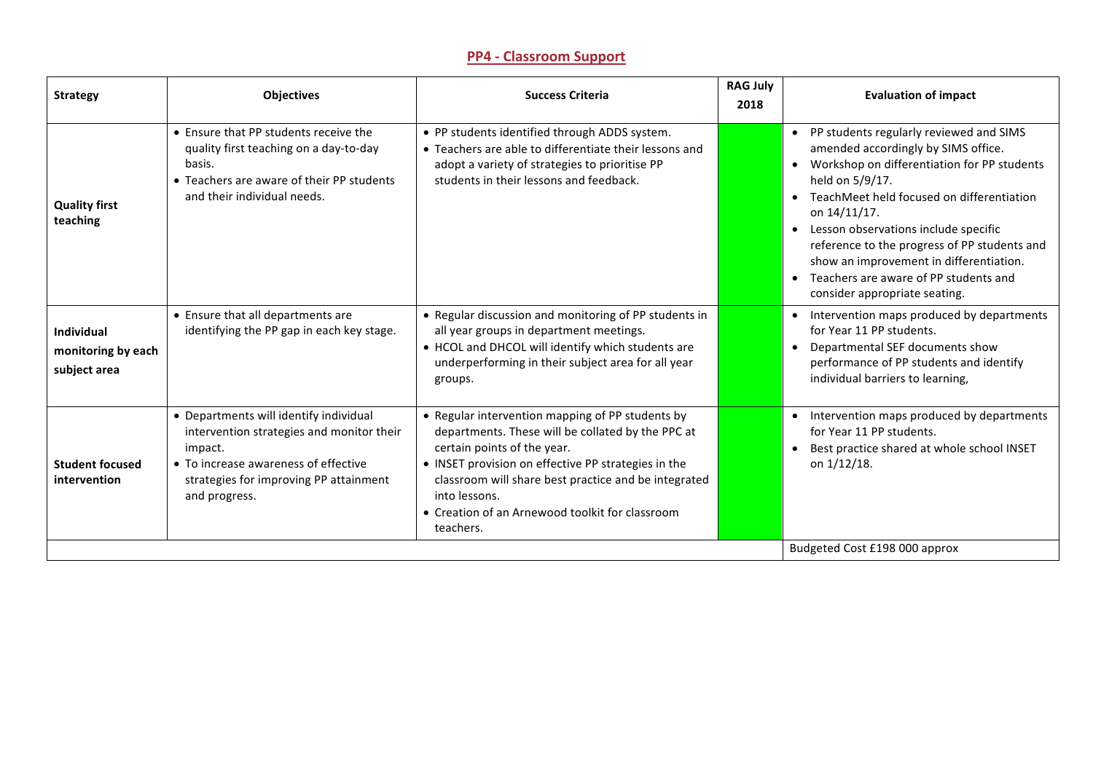### **PP4 - Classroom Support**

| <b>Strategy</b>                                         | <b>Objectives</b>                                                                                                                                                                                 | <b>Success Criteria</b>                                                                                                                                                                                                                                                                                                              | <b>RAG July</b><br>2018 | <b>Evaluation of impact</b>                                                                                                                                                                                                                                                                                                                                                                                                                                                      |
|---------------------------------------------------------|---------------------------------------------------------------------------------------------------------------------------------------------------------------------------------------------------|--------------------------------------------------------------------------------------------------------------------------------------------------------------------------------------------------------------------------------------------------------------------------------------------------------------------------------------|-------------------------|----------------------------------------------------------------------------------------------------------------------------------------------------------------------------------------------------------------------------------------------------------------------------------------------------------------------------------------------------------------------------------------------------------------------------------------------------------------------------------|
| <b>Quality first</b><br>teaching                        | • Ensure that PP students receive the<br>quality first teaching on a day-to-day<br>basis.<br>• Teachers are aware of their PP students<br>and their individual needs.                             | • PP students identified through ADDS system.<br>• Teachers are able to differentiate their lessons and<br>adopt a variety of strategies to prioritise PP<br>students in their lessons and feedback.                                                                                                                                 |                         | PP students regularly reviewed and SIMS<br>$\bullet$<br>amended accordingly by SIMS office.<br>Workshop on differentiation for PP students<br>$\bullet$<br>held on 5/9/17.<br>TeachMeet held focused on differentiation<br>$\bullet$<br>on 14/11/17.<br>Lesson observations include specific<br>$\bullet$<br>reference to the progress of PP students and<br>show an improvement in differentiation.<br>• Teachers are aware of PP students and<br>consider appropriate seating. |
| <b>Individual</b><br>monitoring by each<br>subject area | • Ensure that all departments are<br>identifying the PP gap in each key stage.                                                                                                                    | • Regular discussion and monitoring of PP students in<br>all year groups in department meetings.<br>• HCOL and DHCOL will identify which students are<br>underperforming in their subject area for all year<br>groups.                                                                                                               |                         | Intervention maps produced by departments<br>$\bullet$<br>for Year 11 PP students.<br>Departmental SEF documents show<br>$\bullet$<br>performance of PP students and identify<br>individual barriers to learning,                                                                                                                                                                                                                                                                |
| <b>Student focused</b><br><i>intervention</i>           | • Departments will identify individual<br>intervention strategies and monitor their<br>impact.<br>• To increase awareness of effective<br>strategies for improving PP attainment<br>and progress. | • Regular intervention mapping of PP students by<br>departments. These will be collated by the PPC at<br>certain points of the year.<br>• INSET provision on effective PP strategies in the<br>classroom will share best practice and be integrated<br>into lessons.<br>• Creation of an Arnewood toolkit for classroom<br>teachers. |                         | Intervention maps produced by departments<br>$\bullet$<br>for Year 11 PP students.<br>Best practice shared at whole school INSET<br>$\bullet$<br>on $1/12/18$ .                                                                                                                                                                                                                                                                                                                  |
|                                                         |                                                                                                                                                                                                   |                                                                                                                                                                                                                                                                                                                                      |                         | Budgeted Cost £198 000 approx                                                                                                                                                                                                                                                                                                                                                                                                                                                    |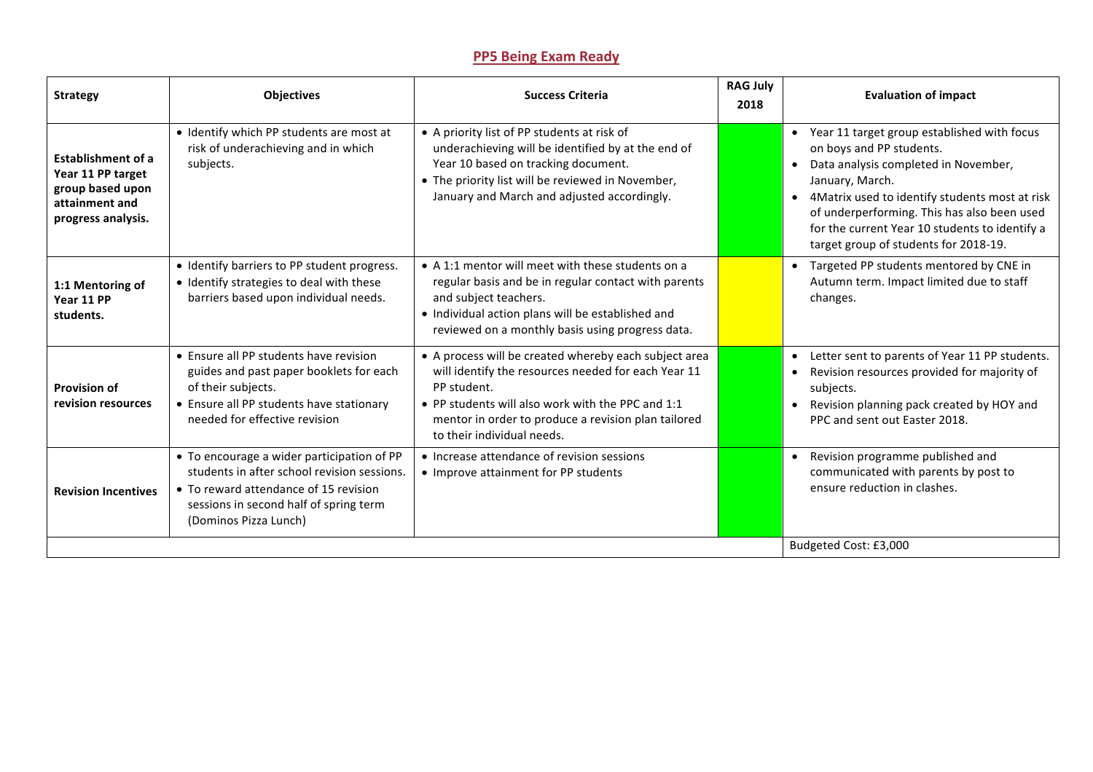## **PP5 Being Exam Ready**

| <b>Strategy</b>                                                                                            | <b>Objectives</b>                                                                                                                                                                                     | <b>Success Criteria</b>                                                                                                                                                                                                                                               | <b>RAG July</b><br>2018 | <b>Evaluation of impact</b>                                                                                                                                                                                                                                                                                                                                |
|------------------------------------------------------------------------------------------------------------|-------------------------------------------------------------------------------------------------------------------------------------------------------------------------------------------------------|-----------------------------------------------------------------------------------------------------------------------------------------------------------------------------------------------------------------------------------------------------------------------|-------------------------|------------------------------------------------------------------------------------------------------------------------------------------------------------------------------------------------------------------------------------------------------------------------------------------------------------------------------------------------------------|
| <b>Establishment of a</b><br>Year 11 PP target<br>group based upon<br>attainment and<br>progress analysis. | · Identify which PP students are most at<br>risk of underachieving and in which<br>subjects.                                                                                                          | • A priority list of PP students at risk of<br>underachieving will be identified by at the end of<br>Year 10 based on tracking document.<br>• The priority list will be reviewed in November,<br>January and March and adjusted accordingly.                          |                         | • Year 11 target group established with focus<br>on boys and PP students.<br>Data analysis completed in November,<br>$\bullet$<br>January, March.<br>4Matrix used to identify students most at risk<br>$\bullet$<br>of underperforming. This has also been used<br>for the current Year 10 students to identify a<br>target group of students for 2018-19. |
| 1:1 Mentoring of<br>Year 11 PP<br>students.                                                                | • Identify barriers to PP student progress.<br>· Identify strategies to deal with these<br>barriers based upon individual needs.                                                                      | • A 1:1 mentor will meet with these students on a<br>regular basis and be in regular contact with parents<br>and subject teachers.<br>• Individual action plans will be established and<br>reviewed on a monthly basis using progress data.                           |                         | Targeted PP students mentored by CNE in<br>$\bullet$<br>Autumn term. Impact limited due to staff<br>changes.                                                                                                                                                                                                                                               |
| <b>Provision of</b><br>revision resources                                                                  | • Ensure all PP students have revision<br>guides and past paper booklets for each<br>of their subjects.<br>• Ensure all PP students have stationary<br>needed for effective revision                  | • A process will be created whereby each subject area<br>will identify the resources needed for each Year 11<br>PP student.<br>• PP students will also work with the PPC and 1:1<br>mentor in order to produce a revision plan tailored<br>to their individual needs. |                         | Letter sent to parents of Year 11 PP students.<br>$\bullet$<br>Revision resources provided for majority of<br>$\bullet$<br>subjects.<br>Revision planning pack created by HOY and<br>$\bullet$<br>PPC and sent out Easter 2018.                                                                                                                            |
| <b>Revision Incentives</b>                                                                                 | • To encourage a wider participation of PP<br>students in after school revision sessions.<br>• To reward attendance of 15 revision<br>sessions in second half of spring term<br>(Dominos Pizza Lunch) | • Increase attendance of revision sessions<br>• Improve attainment for PP students                                                                                                                                                                                    |                         | Revision programme published and<br>$\bullet$<br>communicated with parents by post to<br>ensure reduction in clashes.                                                                                                                                                                                                                                      |
|                                                                                                            |                                                                                                                                                                                                       |                                                                                                                                                                                                                                                                       |                         | Budgeted Cost: £3,000                                                                                                                                                                                                                                                                                                                                      |